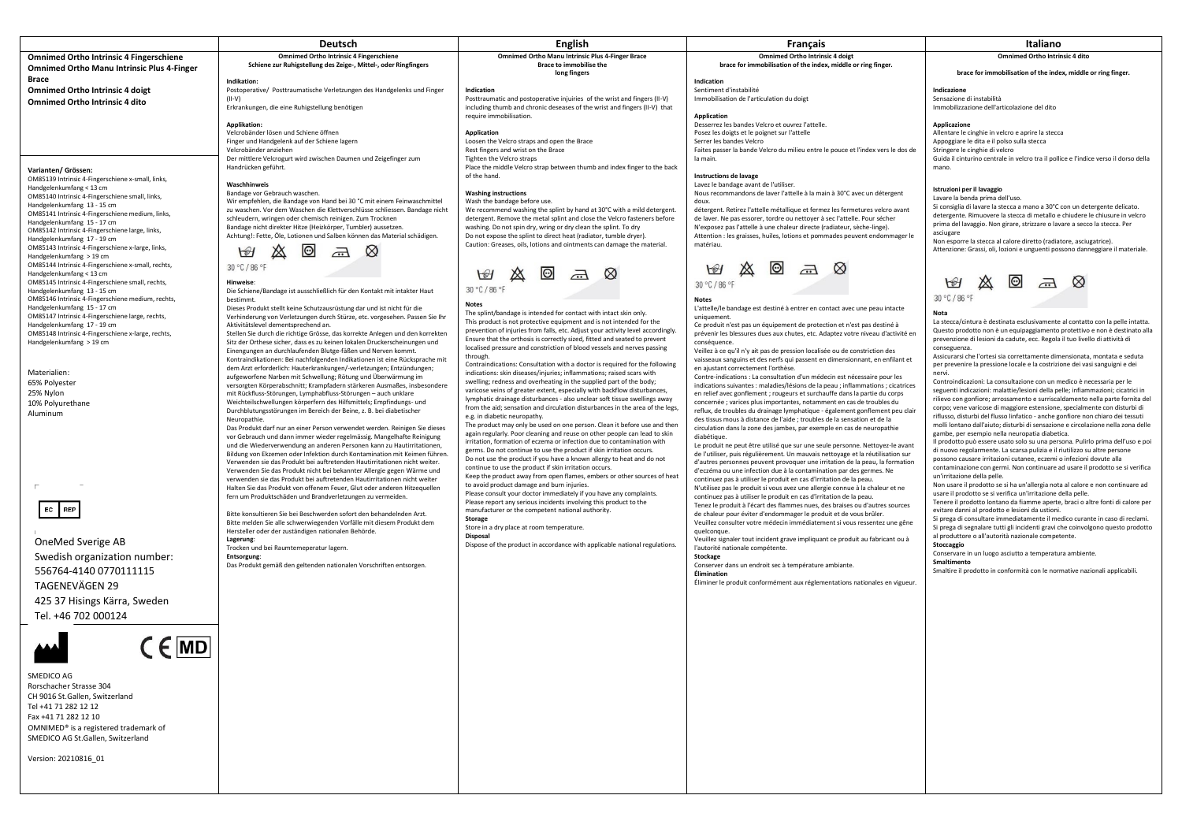|                                                                                   | <b>Deutsch</b>                                                                                                                                       | <b>English</b>                                                                                                                                        | Français                                                                                                                                                         | Italiano                                                                                                                                                         |
|-----------------------------------------------------------------------------------|------------------------------------------------------------------------------------------------------------------------------------------------------|-------------------------------------------------------------------------------------------------------------------------------------------------------|------------------------------------------------------------------------------------------------------------------------------------------------------------------|------------------------------------------------------------------------------------------------------------------------------------------------------------------|
| <b>Omnimed Ortho Intrinsic 4 Fingerschiene</b>                                    | <b>Omnimed Ortho Intrinsic 4 Fingerschiene</b>                                                                                                       | <b>Omnimed Ortho Manu Intrinsic Plus 4-Finger Brace</b>                                                                                               | <b>Omnimed Ortho Intrinsic 4 doigt</b>                                                                                                                           | <b>Omnimed Ortho Intrinsic 4 dito</b>                                                                                                                            |
| <b>Omnimed Ortho Manu Intrinsic Plus 4-Finger</b>                                 | Schiene zur Ruhigstellung des Zeige-, Mittel-, oder Ringfingers                                                                                      | Brace to immobilise the                                                                                                                               | brace for immobilisation of the index, middle or ring finger.                                                                                                    |                                                                                                                                                                  |
| Brace                                                                             |                                                                                                                                                      | long fingers                                                                                                                                          |                                                                                                                                                                  | brace for immobilisation of the index, middle or ring finger.                                                                                                    |
| <b>Omnimed Ortho Intrinsic 4 doigt</b>                                            | Indikation:<br>Postoperative/ Posttraumatische Verletzungen des Handgelenks und Finger                                                               | Indication                                                                                                                                            | Indication<br>Sentiment d'instabilité                                                                                                                            | Indicazione                                                                                                                                                      |
| Omnimed Ortho Intrinsic 4 dito                                                    | $(II-V)$                                                                                                                                             | Posttraumatic and postoperative injuiries of the wrist and fingers (II-V)                                                                             | Immobilisation de l'articulation du doigt                                                                                                                        | Sensazione di instabilità                                                                                                                                        |
|                                                                                   | Erkrankungen, die eine Ruhigstellung benötigen                                                                                                       | including thumb and chronic deseases of the wrist and fingers (II-V) that                                                                             |                                                                                                                                                                  | Immobilizzazione dell'articolazione del dito                                                                                                                     |
|                                                                                   | Applikation:                                                                                                                                         | require immobilisation.                                                                                                                               | <b>Application</b><br>Desserrez les bandes Velcro et ouvrez l'attelle.                                                                                           | Applicazione                                                                                                                                                     |
|                                                                                   | Velcrobänder lösen und Schiene öffnen                                                                                                                | Application                                                                                                                                           | Posez les doigts et le poignet sur l'attelle                                                                                                                     | Allentare le cinghie in velcro e aprire la stecca                                                                                                                |
|                                                                                   | Finger und Handgelenk auf der Schiene lagern                                                                                                         | Loosen the Velcro straps and open the Brace                                                                                                           | Serrer les bandes Velcro                                                                                                                                         | Appoggiare le dita e il polso sulla stecca                                                                                                                       |
|                                                                                   | Velcrobänder anziehen                                                                                                                                | Rest fingers and wrist on the Brace                                                                                                                   | Faites passer la bande Velcro du milieu entre le pouce et l'index vers le dos de                                                                                 | Stringere le cinghie di velcro                                                                                                                                   |
|                                                                                   | Der mittlere Velcrogurt wird zwischen Daumen und Zeigefinger zum<br>Handrücken geführt.                                                              | Tighten the Velcro straps<br>Place the middle Velcro strap between thumb and index finger to the back                                                 | la main.                                                                                                                                                         | Guida il cinturino centrale in velcro tra il pollice e l'indice verso il dorso della<br>mano.                                                                    |
| Varianten/ Grössen:<br>OM85139 Intrinsic 4-Fingerschiene x-small, links,          |                                                                                                                                                      | of the hand.                                                                                                                                          | Instructions de lavage                                                                                                                                           |                                                                                                                                                                  |
| Handgelenkumfang < 13 cm                                                          | Waschhinweis                                                                                                                                         |                                                                                                                                                       | Lavez le bandage avant de l'utiliser.                                                                                                                            | Istruzioni per il lavaggio                                                                                                                                       |
| OM85140 Intrinsic 4-Fingerschiene small, links,                                   | Bandage vor Gebrauch waschen.<br>Wir empfehlen, die Bandage von Hand bei 30 °C mit einem Feinwaschmittel                                             | <b>Washing instructions</b><br>Wash the bandage before use.                                                                                           | Nous recommandons de laver l'attelle à la main à 30°C avec un détergent<br>doux.                                                                                 | Lavare la benda prima dell'uso.                                                                                                                                  |
| Handgelenkumfang 13 - 15 cm                                                       | zu waschen. Vor dem Waschen die Klettverschlüsse schliessen. Bandage nicht                                                                           | We recommend washing the splint by hand at 30°C with a mild detergent.                                                                                | détergent. Retirez l'attelle métallique et fermez les fermetures velcro avant                                                                                    | Si consiglia di lavare la stecca a mano a 30°C con un detergente delicato.                                                                                       |
| OM85141 Intrinsic 4-Fingerschiene medium, links,<br>Handgelenkumfang 15 - 17 cm   | schleudern, wringen oder chemisch reinigen. Zum Trocknen                                                                                             | detergent. Remove the metal splint and close the Velcro fasteners before                                                                              | de laver. Ne pas essorer, tordre ou nettoyer à sec l'attelle. Pour sécher                                                                                        | detergente. Rimuovere la stecca di metallo e chiudere le chiusure in velcro<br>prima del lavaggio. Non girare, strizzare o lavare a secco la stecca. Per         |
| OM85142 Intrinsic 4-Fingerschiene large, links,                                   | Bandage nicht direkter Hitze (Heizkörper, Tumbler) aussetzen.                                                                                        | washing. Do not spin dry, wring or dry clean the splint. To dry                                                                                       | N'exposez pas l'attelle à une chaleur directe (radiateur, sèche-linge).                                                                                          | asciugare                                                                                                                                                        |
| Handgelenkumfang 17 - 19 cm                                                       | Achtung!: Fette, Öle, Lotionen und Salben können das Material schädigen.                                                                             | Do not expose the splint to direct heat (radiator, tumble dryer).<br>Caution: Greases, oils, lotions and ointments can damage the material.           | Attention : les graisses, huiles, lotions et pommades peuvent endommager le<br>matériau.                                                                         | Non esporre la stecca al calore diretto (radiatore, asciugatrice).                                                                                               |
| OM85143 Intrinsic 4-Fingerschiene x-large, links,<br>Handgelenkumfang > 19 cm     | $\bigcirc$                                                                                                                                           |                                                                                                                                                       |                                                                                                                                                                  | Attenzione: Grassi, oli, lozioni e unguenti possono danneggiare il materiale.                                                                                    |
| OM85144 Intrinsic 4-Fingerschiene x-small, rechts,                                | 30 °C / 86 °F                                                                                                                                        |                                                                                                                                                       |                                                                                                                                                                  |                                                                                                                                                                  |
| Handgelenkumfang < 13 cm                                                          |                                                                                                                                                      | $\odot$<br>$\bigcirc$<br>$\overline{\mathcal{L}}$                                                                                                     |                                                                                                                                                                  |                                                                                                                                                                  |
| OM85145 Intrinsic 4-Fingerschiene small, rechts,                                  | <b>Hinweise</b>                                                                                                                                      | 30 °C / 86 °F                                                                                                                                         | 30 °C / 86 °F                                                                                                                                                    | $\Theta$<br>$\bigoplus$                                                                                                                                          |
| Handgelenkumfang 13 - 15 cm<br>OM85146 Intrinsic 4-Fingerschiene medium, rechts,  | Die Schiene/Bandage ist ausschließlich für den Kontakt mit intakter Haut<br>hestimmt.                                                                |                                                                                                                                                       | <b>Notes</b>                                                                                                                                                     | 30 °C / 86 °F                                                                                                                                                    |
| Handgelenkumfang 15 - 17 cm                                                       | Dieses Produkt stellt keine Schutzausrüstung dar und ist nicht für die                                                                               | <b>Notes</b>                                                                                                                                          | L'attelle/le bandage est destiné à entrer en contact avec une peau intacte                                                                                       |                                                                                                                                                                  |
| OM85147 Intrinsic 4-Fingerschiene large, rechts,                                  | Verhinderung von Verletzungen durch Stürze, etc. vorgesehen. Passen Sie Ihr                                                                          | The splint/bandage is intended for contact with intact skin only.<br>This product is not protective equipment and is not intended for the             | uniquement                                                                                                                                                       | Nota<br>La stecca/cintura è destinata esclusivamente al contatto con la pelle intatta.                                                                           |
| Handgelenkumfang 17 - 19 cm<br>OM85148 Intrinsic 4-Fingerschiene x-large, rechts, | Aktivitätslevel dementsprechend an.<br>Stellen Sie durch die richtige Grösse, das korrekte Anlegen und den korrekten                                 | prevention of injuries from falls, etc. Adjust your activity level accordingly.                                                                       | Ce produit n'est pas un équipement de protection et n'est pas destiné à<br>prévenir les blessures dues aux chutes, etc. Adaptez votre niveau d'activité en       | Questo prodotto non è un equipaggiamento protettivo e non è destinato alla                                                                                       |
| Handgelenkumfang > 19 cm                                                          | Sitz der Orthese sicher, dass es zu keinen lokalen Druckerscheinungen und                                                                            | Ensure that the orthosis is correctly sized, fitted and seated to prevent                                                                             | conséquence.                                                                                                                                                     | prevenzione di lesioni da cadute, ecc. Regola il tuo livello di attività di                                                                                      |
|                                                                                   | Einengungen an durchlaufenden Blutge-fäßen und Nerven kommt.                                                                                         | localised pressure and constriction of blood vessels and nerves passing<br>through.                                                                   | Veillez à ce qu'il n'y ait pas de pression localisée ou de constriction des                                                                                      | conseguenza.<br>Assicurarsi che l'ortesi sia correttamente dimensionata, montata e seduta                                                                        |
|                                                                                   | Kontraindikationen: Bei nachfolgenden Indikationen ist eine Rücksprache mit                                                                          | Contraindications: Consultation with a doctor is required for the following                                                                           | vaisseaux sanguins et des nerfs qui passent en dimensionnant, en enfilant et                                                                                     | per prevenire la pressione locale e la costrizione dei vasi sanguigni e dei                                                                                      |
| Materialien:                                                                      | dem Arzt erforderlich: Hauterkrankungen/-verletzungen; Entzündungen;<br>aufgeworfene Narben mit Schwellung; Rötung und Überwärmung im                | indications: skin diseases/iniuries: inflammations: raised scars with                                                                                 | en ajustant correctement l'orthèse.<br>Contre-indications : La consultation d'un médecin est nécessaire pour les                                                 | nervi.                                                                                                                                                           |
| 65% Polyester                                                                     | versorgten Körperabschnitt; Krampfadern stärkeren Ausmaßes, insbesondere                                                                             | swelling; redness and overheating in the supplied part of the body;                                                                                   | indications suivantes : maladies/lésions de la peau ; inflammations ; cicatrices                                                                                 | Controindicazioni: La consultazione con un medico è necessaria per le                                                                                            |
| 25% Nylon                                                                         | mit Rückfluss-Störungen, Lymphabfluss-Störungen - auch unklare                                                                                       | varicose veins of greater extent, especially with backflow disturbances,<br>lymphatic drainage disturbances - also unclear soft tissue swellings away | en relief avec gonflement ; rougeurs et surchauffe dans la partie du corps                                                                                       | seguenti indicazioni: malattie/lesioni della pelle; infiammazioni; cicatrici in<br>rilievo con gonfiore; arrossamento e surriscaldamento nella parte fornita del |
| 10% Polyurethane                                                                  | Weichteilschwellungen körperfern des Hilfsmittels; Empfindungs- und<br>Durchblutungsstörungen im Bereich der Beine, z. B. bei diabetischer           | from the aid; sensation and circulation disturbances in the area of the legs,                                                                         | concernée ; varices plus importantes, notamment en cas de troubles du                                                                                            | corpo; vene varicose di maggiore estensione, specialmente con disturbi di                                                                                        |
| Aluminum                                                                          | Neuropathie.                                                                                                                                         | e.g. in diabetic neuropathy.                                                                                                                          | reflux, de troubles du drainage lymphatique - également gonflement peu clair<br>des tissus mous à distance de l'aide ; troubles de la sensation et de la         | riflusso, disturbi del flusso linfatico - anche gonfiore non chiaro dei tessuti                                                                                  |
|                                                                                   | Das Produkt darf nur an einer Person verwendet werden. Reinigen Sie dieses                                                                           | The product may only be used on one person. Clean it before use and then                                                                              | circulation dans la zone des jambes, par exemple en cas de neuropathie                                                                                           | molli lontano dall'aiuto; disturbi di sensazione e circolazione nella zona delle                                                                                 |
|                                                                                   | vor Gebrauch und dann immer wieder regelmässig. Mangelhafte Reinigung                                                                                | again regularly. Poor cleaning and reuse on other people can lead to skin<br>irritation, formation of eczema or infection due to contamination with   | diabétique.                                                                                                                                                      | gambe, per esempio nella neuropatia diabetica.<br>Il prodotto può essere usato solo su una persona. Pulirlo prima dell'uso e poi                                 |
|                                                                                   | und die Wiederverwendung an anderen Personen kann zu Hautirritationen,<br>Bildung von Ekzemen oder Infektion durch Kontamination mit Keimen führen.  | germs. Do not continue to use the product if skin irritation occurs.                                                                                  | Le produit ne peut être utilisé que sur une seule personne. Nettoyez-le avant<br>de l'utiliser, puis régulièrement. Un mauvais nettoyage et la réutilisation sur | di nuovo regolarmente. La scarsa pulizia e il riutilizzo su altre persone                                                                                        |
|                                                                                   | Verwenden sie das Produkt bei auftretenden Hautirritationen nicht weiter.                                                                            | Do not use the product if you have a known allergy to heat and do not                                                                                 | d'autres personnes peuvent provoquer une irritation de la peau, la formation                                                                                     | possono causare irritazioni cutanee, eczemi o infezioni dovute alla                                                                                              |
|                                                                                   | Verwenden Sie das Produkt nicht bei bekannter Allergie gegen Wärme und                                                                               | continue to use the product if skin irritation occurs.<br>Keep the product away from open flames, embers or other sources of heat                     | d'eczéma ou une infection due à la contamination par des germes. Ne                                                                                              | contaminazione con germi. Non continuare ad usare il prodotto se si verifica<br>un'irritazione della pelle.                                                      |
|                                                                                   | verwenden sie das Produkt bei auftretenden Hautirritationen nicht weiter<br>Halten Sie das Produkt von offenem Feuer, Glut oder anderen Hitzequellen | to avoid product damage and burn injuries.                                                                                                            | continuez pas à utiliser le produit en cas d'irritation de la peau.<br>N'utilisez pas le produit si vous avez une allergie connue à la chaleur et ne             | Non usare il prodotto se si ha un'allergia nota al calore e non continuare ad                                                                                    |
|                                                                                   | fern um Produktschäden und Brandverletzungen zu vermeiden.                                                                                           | Please consult your doctor immediately if you have any complaints.                                                                                    | continuez pas à utiliser le produit en cas d'irritation de la peau.                                                                                              | usare il prodotto se si verifica un'irritazione della pelle.                                                                                                     |
| EC REP                                                                            |                                                                                                                                                      | Please report any serious incidents involving this product to the<br>manufacturer or the competent national authority.                                | Tenez le produit à l'écart des flammes nues, des braises ou d'autres sources                                                                                     | Tenere il prodotto lontano da fiamme aperte, braci o altre fonti di calore per<br>evitare danni al prodotto e lesioni da ustioni.                                |
|                                                                                   | Bitte konsultieren Sie bei Beschwerden sofort den behandelnden Arzt.<br>Bitte melden Sie alle schwerwiegenden Vorfälle mit diesem Produkt dem        | <b>Storage</b>                                                                                                                                        | de chaleur pour éviter d'endommager le produit et de vous brûler.<br>Veuillez consulter votre médecin immédiatement si vous ressentez une gêne                   | Si prega di consultare immediatamente il medico curante in caso di reclami.                                                                                      |
|                                                                                   | Hersteller oder der zuständigen nationalen Behörde.                                                                                                  | Store in a dry place at room temperature.                                                                                                             | quelconque.                                                                                                                                                      | Si prega di segnalare tutti gli incidenti gravi che coinvolgono questo prodotto                                                                                  |
| OneMed Sverige AB                                                                 | Lagerung:                                                                                                                                            | <b>Disposal</b>                                                                                                                                       | Veuillez signaler tout incident grave impliquant ce produit au fabricant ou à                                                                                    | al produttore o all'autorità nazionale competente.                                                                                                               |
|                                                                                   | Trocken und bei Raumtemeperatur lagern.                                                                                                              | Dispose of the product in accordance with applicable national regulations.                                                                            | l'autorité nationale compétente.                                                                                                                                 | Stoccaggio<br>Conservare in un luogo asciutto a temperatura ambiente.                                                                                            |
| Swedish organization number:                                                      | Entsorgung:<br>Das Produkt gemäß den geltenden nationalen Vorschriften entsorgen.                                                                    |                                                                                                                                                       | Stockage<br>Conserver dans un endroit sec à température ambiante.                                                                                                | Smaltimento                                                                                                                                                      |
| 556764-4140 0770111115                                                            |                                                                                                                                                      |                                                                                                                                                       | Élimination                                                                                                                                                      | Smaltire il prodotto in conformità con le normative nazionali applicabili.                                                                                       |
| TAGENEVÄGEN 29                                                                    |                                                                                                                                                      |                                                                                                                                                       | Éliminer le produit conformément aux réglementations nationales en vigueur.                                                                                      |                                                                                                                                                                  |
|                                                                                   |                                                                                                                                                      |                                                                                                                                                       |                                                                                                                                                                  |                                                                                                                                                                  |
| 425 37 Hisings Kärra, Sweden                                                      |                                                                                                                                                      |                                                                                                                                                       |                                                                                                                                                                  |                                                                                                                                                                  |
| Tel. +46 702 000124                                                               |                                                                                                                                                      |                                                                                                                                                       |                                                                                                                                                                  |                                                                                                                                                                  |
|                                                                                   |                                                                                                                                                      |                                                                                                                                                       |                                                                                                                                                                  |                                                                                                                                                                  |
| $f$ MD                                                                            |                                                                                                                                                      |                                                                                                                                                       |                                                                                                                                                                  |                                                                                                                                                                  |
|                                                                                   |                                                                                                                                                      |                                                                                                                                                       |                                                                                                                                                                  |                                                                                                                                                                  |
|                                                                                   |                                                                                                                                                      |                                                                                                                                                       |                                                                                                                                                                  |                                                                                                                                                                  |
| SMEDICO AG                                                                        |                                                                                                                                                      |                                                                                                                                                       |                                                                                                                                                                  |                                                                                                                                                                  |
| Rorschacher Strasse 304                                                           |                                                                                                                                                      |                                                                                                                                                       |                                                                                                                                                                  |                                                                                                                                                                  |
| CH 9016 St.Gallen, Switzerland                                                    |                                                                                                                                                      |                                                                                                                                                       |                                                                                                                                                                  |                                                                                                                                                                  |
| Tel +41 71 282 12 12                                                              |                                                                                                                                                      |                                                                                                                                                       |                                                                                                                                                                  |                                                                                                                                                                  |
| Fax +41 71 282 12 10                                                              |                                                                                                                                                      |                                                                                                                                                       |                                                                                                                                                                  |                                                                                                                                                                  |
| OMNIMED® is a registered trademark of                                             |                                                                                                                                                      |                                                                                                                                                       |                                                                                                                                                                  |                                                                                                                                                                  |
| SMEDICO AG St.Gallen, Switzerland                                                 |                                                                                                                                                      |                                                                                                                                                       |                                                                                                                                                                  |                                                                                                                                                                  |
|                                                                                   |                                                                                                                                                      |                                                                                                                                                       |                                                                                                                                                                  |                                                                                                                                                                  |
| Version: 20210816 01                                                              |                                                                                                                                                      |                                                                                                                                                       |                                                                                                                                                                  |                                                                                                                                                                  |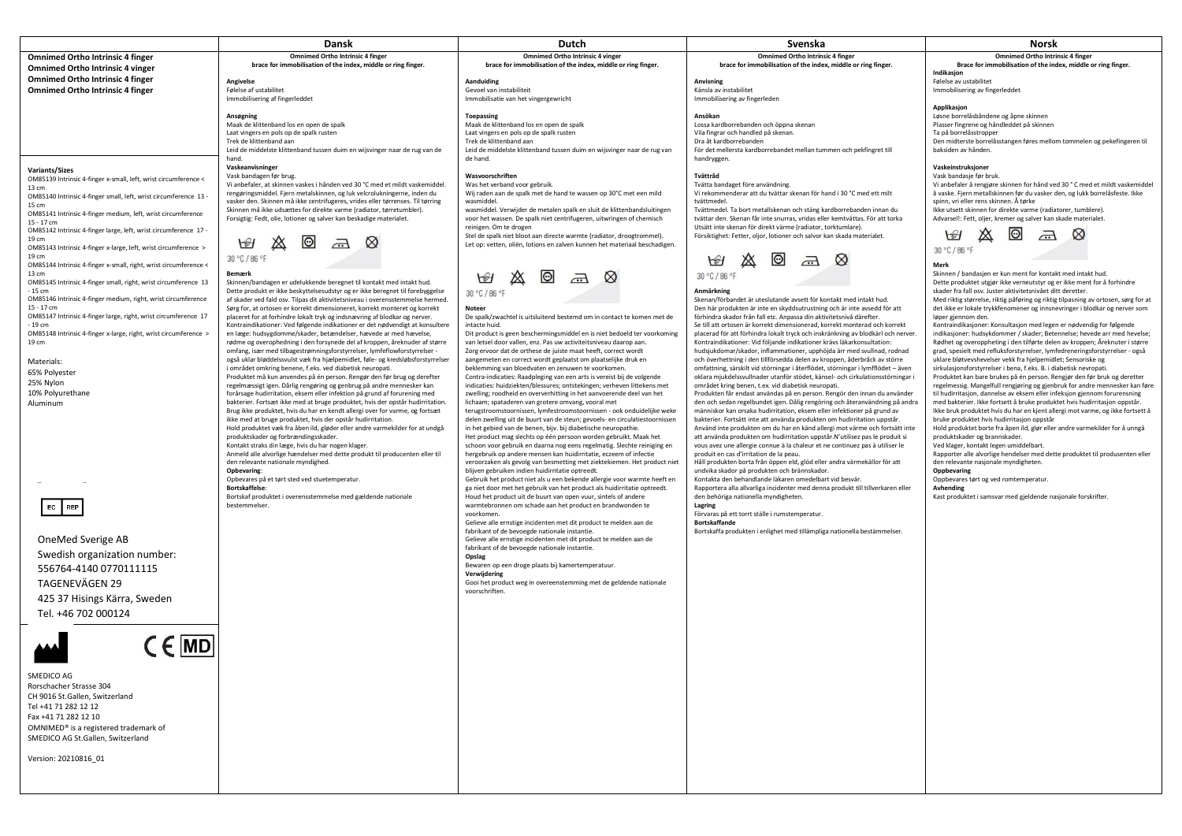|                                                                                                                                                                                                                                                                                                                                                                                                                                                                                                                                                                                                                                                                                                                                                                                                                                                                                                                                                                                                                                                                                                                                                                                                                                                                                                                            | <b>Dansk</b>                                                                                                                                                                                                                                                                                                                                                                                                                                                                                                                                                                                                                                                                                                                                                                                                                                                                                                                                                                                                                                                                                                                                                                                                                                                                                                                                                                                                                                                                                                                                                                                                                                                                                                                                                                                                                                                                                                                                                                                                                                                                                                                                                                                                                                                                                                            | Dutch                                                                                                                                                                                                                                                                                                                                                                                                                                                                                                                                                                                                                                                                                                                                                                                                                                                                                                                                                                                                                                                                                                                                                                                                                                                                                                                                                                                                                                                                                                                                                                                                                                                                                                                                                                                                                                                                                                                                                                                                                                                                                                                                                                                                                                                                                                                                                                                                                                                                                                                                                        | Svenska                                                                                                                                                                                                                                                                                                                                                                                                                                                                                                                                                                                                                                                                                                                                                                                                                                                                                                                                                                                                                                                                                                                                                                                                                                                                                                                                                                                                                                                                                                                                                                                                                                                                                                                                                                                                                                                                                                                                                                                                                                                                                                                                                                                                                                                                                                                                                                                                                                                   | Norsk                                                                                                                                                                                                                                                                                                                                                                                                                                                                                                                                                                                                                                                                                                                                                                                                                                                                                                                                                                                                                                                                                                                                                                                                                                                                                                                                                                                                                                                                                                                                                                                                                                                                                                                                                                                                                                                                                                                                                                                                                                                                                                                                                                                                       |
|----------------------------------------------------------------------------------------------------------------------------------------------------------------------------------------------------------------------------------------------------------------------------------------------------------------------------------------------------------------------------------------------------------------------------------------------------------------------------------------------------------------------------------------------------------------------------------------------------------------------------------------------------------------------------------------------------------------------------------------------------------------------------------------------------------------------------------------------------------------------------------------------------------------------------------------------------------------------------------------------------------------------------------------------------------------------------------------------------------------------------------------------------------------------------------------------------------------------------------------------------------------------------------------------------------------------------|-------------------------------------------------------------------------------------------------------------------------------------------------------------------------------------------------------------------------------------------------------------------------------------------------------------------------------------------------------------------------------------------------------------------------------------------------------------------------------------------------------------------------------------------------------------------------------------------------------------------------------------------------------------------------------------------------------------------------------------------------------------------------------------------------------------------------------------------------------------------------------------------------------------------------------------------------------------------------------------------------------------------------------------------------------------------------------------------------------------------------------------------------------------------------------------------------------------------------------------------------------------------------------------------------------------------------------------------------------------------------------------------------------------------------------------------------------------------------------------------------------------------------------------------------------------------------------------------------------------------------------------------------------------------------------------------------------------------------------------------------------------------------------------------------------------------------------------------------------------------------------------------------------------------------------------------------------------------------------------------------------------------------------------------------------------------------------------------------------------------------------------------------------------------------------------------------------------------------------------------------------------------------------------------------------------------------|--------------------------------------------------------------------------------------------------------------------------------------------------------------------------------------------------------------------------------------------------------------------------------------------------------------------------------------------------------------------------------------------------------------------------------------------------------------------------------------------------------------------------------------------------------------------------------------------------------------------------------------------------------------------------------------------------------------------------------------------------------------------------------------------------------------------------------------------------------------------------------------------------------------------------------------------------------------------------------------------------------------------------------------------------------------------------------------------------------------------------------------------------------------------------------------------------------------------------------------------------------------------------------------------------------------------------------------------------------------------------------------------------------------------------------------------------------------------------------------------------------------------------------------------------------------------------------------------------------------------------------------------------------------------------------------------------------------------------------------------------------------------------------------------------------------------------------------------------------------------------------------------------------------------------------------------------------------------------------------------------------------------------------------------------------------------------------------------------------------------------------------------------------------------------------------------------------------------------------------------------------------------------------------------------------------------------------------------------------------------------------------------------------------------------------------------------------------------------------------------------------------------------------------------------------------|-----------------------------------------------------------------------------------------------------------------------------------------------------------------------------------------------------------------------------------------------------------------------------------------------------------------------------------------------------------------------------------------------------------------------------------------------------------------------------------------------------------------------------------------------------------------------------------------------------------------------------------------------------------------------------------------------------------------------------------------------------------------------------------------------------------------------------------------------------------------------------------------------------------------------------------------------------------------------------------------------------------------------------------------------------------------------------------------------------------------------------------------------------------------------------------------------------------------------------------------------------------------------------------------------------------------------------------------------------------------------------------------------------------------------------------------------------------------------------------------------------------------------------------------------------------------------------------------------------------------------------------------------------------------------------------------------------------------------------------------------------------------------------------------------------------------------------------------------------------------------------------------------------------------------------------------------------------------------------------------------------------------------------------------------------------------------------------------------------------------------------------------------------------------------------------------------------------------------------------------------------------------------------------------------------------------------------------------------------------------------------------------------------------------------------------------------------------|-------------------------------------------------------------------------------------------------------------------------------------------------------------------------------------------------------------------------------------------------------------------------------------------------------------------------------------------------------------------------------------------------------------------------------------------------------------------------------------------------------------------------------------------------------------------------------------------------------------------------------------------------------------------------------------------------------------------------------------------------------------------------------------------------------------------------------------------------------------------------------------------------------------------------------------------------------------------------------------------------------------------------------------------------------------------------------------------------------------------------------------------------------------------------------------------------------------------------------------------------------------------------------------------------------------------------------------------------------------------------------------------------------------------------------------------------------------------------------------------------------------------------------------------------------------------------------------------------------------------------------------------------------------------------------------------------------------------------------------------------------------------------------------------------------------------------------------------------------------------------------------------------------------------------------------------------------------------------------------------------------------------------------------------------------------------------------------------------------------------------------------------------------------------------------------------------------------|
| <b>Omnimed Ortho Intrinsic 4 finger</b>                                                                                                                                                                                                                                                                                                                                                                                                                                                                                                                                                                                                                                                                                                                                                                                                                                                                                                                                                                                                                                                                                                                                                                                                                                                                                    | <b>Omnimed Ortho Intrinsic 4 finger</b><br>brace for immobilisation of the index, middle or ring finger.                                                                                                                                                                                                                                                                                                                                                                                                                                                                                                                                                                                                                                                                                                                                                                                                                                                                                                                                                                                                                                                                                                                                                                                                                                                                                                                                                                                                                                                                                                                                                                                                                                                                                                                                                                                                                                                                                                                                                                                                                                                                                                                                                                                                                | <b>Omnimed Ortho Intrinsic 4 vinger</b><br>brace for immobilisation of the index, middle or ring finger.                                                                                                                                                                                                                                                                                                                                                                                                                                                                                                                                                                                                                                                                                                                                                                                                                                                                                                                                                                                                                                                                                                                                                                                                                                                                                                                                                                                                                                                                                                                                                                                                                                                                                                                                                                                                                                                                                                                                                                                                                                                                                                                                                                                                                                                                                                                                                                                                                                                     | <b>Omnimed Ortho Intrinsic 4 finger</b><br>brace for immobilisation of the index, middle or ring finger.                                                                                                                                                                                                                                                                                                                                                                                                                                                                                                                                                                                                                                                                                                                                                                                                                                                                                                                                                                                                                                                                                                                                                                                                                                                                                                                                                                                                                                                                                                                                                                                                                                                                                                                                                                                                                                                                                                                                                                                                                                                                                                                                                                                                                                                                                                                                                  | <b>Omnimed Ortho Intrinsic 4 finger</b><br>Brace for immobilisation of the index, middle or ring finger.                                                                                                                                                                                                                                                                                                                                                                                                                                                                                                                                                                                                                                                                                                                                                                                                                                                                                                                                                                                                                                                                                                                                                                                                                                                                                                                                                                                                                                                                                                                                                                                                                                                                                                                                                                                                                                                                                                                                                                                                                                                                                                    |
| <b>Omnimed Ortho Intrinsic 4 vinger</b><br><b>Omnimed Ortho Intrinsic 4 finger</b>                                                                                                                                                                                                                                                                                                                                                                                                                                                                                                                                                                                                                                                                                                                                                                                                                                                                                                                                                                                                                                                                                                                                                                                                                                         | Angivelse                                                                                                                                                                                                                                                                                                                                                                                                                                                                                                                                                                                                                                                                                                                                                                                                                                                                                                                                                                                                                                                                                                                                                                                                                                                                                                                                                                                                                                                                                                                                                                                                                                                                                                                                                                                                                                                                                                                                                                                                                                                                                                                                                                                                                                                                                                               | Aanduiding                                                                                                                                                                                                                                                                                                                                                                                                                                                                                                                                                                                                                                                                                                                                                                                                                                                                                                                                                                                                                                                                                                                                                                                                                                                                                                                                                                                                                                                                                                                                                                                                                                                                                                                                                                                                                                                                                                                                                                                                                                                                                                                                                                                                                                                                                                                                                                                                                                                                                                                                                   | Anvisning                                                                                                                                                                                                                                                                                                                                                                                                                                                                                                                                                                                                                                                                                                                                                                                                                                                                                                                                                                                                                                                                                                                                                                                                                                                                                                                                                                                                                                                                                                                                                                                                                                                                                                                                                                                                                                                                                                                                                                                                                                                                                                                                                                                                                                                                                                                                                                                                                                                 | Indikasjon<br>Følelse av ustabilitet                                                                                                                                                                                                                                                                                                                                                                                                                                                                                                                                                                                                                                                                                                                                                                                                                                                                                                                                                                                                                                                                                                                                                                                                                                                                                                                                                                                                                                                                                                                                                                                                                                                                                                                                                                                                                                                                                                                                                                                                                                                                                                                                                                        |
| <b>Omnimed Ortho Intrinsic 4 finger</b>                                                                                                                                                                                                                                                                                                                                                                                                                                                                                                                                                                                                                                                                                                                                                                                                                                                                                                                                                                                                                                                                                                                                                                                                                                                                                    | Følelse af ustabilitet<br>Immobilisering af fingerleddet                                                                                                                                                                                                                                                                                                                                                                                                                                                                                                                                                                                                                                                                                                                                                                                                                                                                                                                                                                                                                                                                                                                                                                                                                                                                                                                                                                                                                                                                                                                                                                                                                                                                                                                                                                                                                                                                                                                                                                                                                                                                                                                                                                                                                                                                | Gevoel van instabiliteit<br>Immobilisatie van het vingergewricht                                                                                                                                                                                                                                                                                                                                                                                                                                                                                                                                                                                                                                                                                                                                                                                                                                                                                                                                                                                                                                                                                                                                                                                                                                                                                                                                                                                                                                                                                                                                                                                                                                                                                                                                                                                                                                                                                                                                                                                                                                                                                                                                                                                                                                                                                                                                                                                                                                                                                             | Känsla av instabilitet<br>Immobilisering av fingerleden                                                                                                                                                                                                                                                                                                                                                                                                                                                                                                                                                                                                                                                                                                                                                                                                                                                                                                                                                                                                                                                                                                                                                                                                                                                                                                                                                                                                                                                                                                                                                                                                                                                                                                                                                                                                                                                                                                                                                                                                                                                                                                                                                                                                                                                                                                                                                                                                   | Immobilisering av fingerleddet                                                                                                                                                                                                                                                                                                                                                                                                                                                                                                                                                                                                                                                                                                                                                                                                                                                                                                                                                                                                                                                                                                                                                                                                                                                                                                                                                                                                                                                                                                                                                                                                                                                                                                                                                                                                                                                                                                                                                                                                                                                                                                                                                                              |
|                                                                                                                                                                                                                                                                                                                                                                                                                                                                                                                                                                                                                                                                                                                                                                                                                                                                                                                                                                                                                                                                                                                                                                                                                                                                                                                            | Ansøgning<br>Maak de klittenband los en open de spalk<br>Laat vingers en pols op de spalk rusten<br>Trek de klittenband aan<br>Leid de middelste klittenband tussen duim en wijsvinger naar de rug van de                                                                                                                                                                                                                                                                                                                                                                                                                                                                                                                                                                                                                                                                                                                                                                                                                                                                                                                                                                                                                                                                                                                                                                                                                                                                                                                                                                                                                                                                                                                                                                                                                                                                                                                                                                                                                                                                                                                                                                                                                                                                                                               | Toepassing<br>Maak de klittenband los en open de spalk<br>Laat vingers en pols op de spalk rusten<br>Trek de klittenband aan<br>Leid de middelste klittenband tussen duim en wijsvinger naar de rug van                                                                                                                                                                                                                                                                                                                                                                                                                                                                                                                                                                                                                                                                                                                                                                                                                                                                                                                                                                                                                                                                                                                                                                                                                                                                                                                                                                                                                                                                                                                                                                                                                                                                                                                                                                                                                                                                                                                                                                                                                                                                                                                                                                                                                                                                                                                                                      | Ansökan<br>Lossa kardborrebanden och öppna skenan<br>Vila fingrar och handled på skenan.<br>Dra åt kardborrebanden<br>För det mellersta kardborrebandet mellan tummen och pekfingret till                                                                                                                                                                                                                                                                                                                                                                                                                                                                                                                                                                                                                                                                                                                                                                                                                                                                                                                                                                                                                                                                                                                                                                                                                                                                                                                                                                                                                                                                                                                                                                                                                                                                                                                                                                                                                                                                                                                                                                                                                                                                                                                                                                                                                                                                 | Applikasjon<br>Løsne borrelåsbåndene og åpne skinnen<br>Plasser fingrene og håndleddet på skinnen<br>Ta på borrelåsstropper<br>Den midterste borrelåsstangen føres mellom tommelen og pekefingeren til<br>baksiden av hånden.                                                                                                                                                                                                                                                                                                                                                                                                                                                                                                                                                                                                                                                                                                                                                                                                                                                                                                                                                                                                                                                                                                                                                                                                                                                                                                                                                                                                                                                                                                                                                                                                                                                                                                                                                                                                                                                                                                                                                                               |
| <b>Variants/Sizes</b><br>OM85139 Intrinsic 4-finger x-small, left, wrist circumference <<br>13 cm<br>OM85140 Intrinsic 4-finger small, left, wrist circumference 13 -<br>15 cm<br>OM85141 Intrinsic 4-finger medium, left, wrist circumference<br>15 - 17 cm<br>OM85142 Intrinsic 4-finger large, left, wrist circumference 17 -<br>19 cm<br>OM85143 Intrinsic 4-finger x-large, left, wrist circumference ><br>19 cm<br>OM85144 Intrinsic 4-finger x-small, right, wrist circumference <<br>13 cm<br>OM85145 Intrinsic 4-finger small, right, wrist circumference 13<br>- 15 cm<br>OM85146 Intrinsic 4-finger medium, right, wrist circumference<br>15 - 17 cm<br>OM85147 Intrinsic 4-finger large, right, wrist circumference 17<br>- 19 cm<br>OM85148 Intrinsic 4-finger x-large, right, wrist circumference ><br>19 cm<br>Materials:<br>65% Polyester<br>25% Nylon<br>10% Polyurethane<br>Aluminum<br>EC REP<br>OneMed Sverige AB<br>Swedish organization number:<br>556764-4140 0770111115<br>TAGENEVÄGEN 29<br>425 37 Hisings Kärra, Sweden<br>Tel. +46 702 000124<br>$\epsilon$ MD<br>SMEDICO AG<br>Rorschacher Strasse 304<br>CH 9016 St.Gallen, Switzerland<br>Tel +41 71 282 12 12<br>Fax +41 71 282 12 10<br>OMNIMED® is a registered trademark of<br>SMEDICO AG St.Gallen, Switzerland<br>Version: 20210816 01 | hand.<br>Vaskeanvisninger<br>Vask bandagen før brug.<br>Vi anbefaler, at skinnen vaskes i hånden ved 30 °C med et mildt vaskemiddel.<br>rengøringsmiddel. Fjern metalskinnen, og luk velcrolukningerne, inden du<br>vasker den. Skinnen må ikke centrifugeres, vrides eller tørrenses. Til tørring<br>Skinnen må ikke udsættes for direkte varme (radiator, tørretumbler).<br>Forsigtig: Fedt, olie, lotioner og salver kan beskadige materialet.<br>$\bigcirc$<br>30 °C / 86 °F<br><b>Bemærk</b><br>Skinnen/bandagen er udelukkende beregnet til kontakt med intakt hud.<br>Dette produkt er ikke beskyttelsesudstyr og er ikke beregnet til forebyggelse<br>af skader ved fald osv. Tilpas dit aktivitetsniveau i overensstemmelse hermed.<br>Sørg for, at ortosen er korrekt dimensioneret, korrekt monteret og korrekt<br>placeret for at forhindre lokalt tryk og indsnævring af blodkar og nerver.<br>Kontraindikationer: Ved følgende indikationer er det nødvendigt at konsultere<br>en læge: hudsygdomme/skader, betændelser, hævede ar med hævelse,<br>rødme og overophedning i den forsynede del af kroppen, åreknuder af større<br>omfang, især med tilbagestrømningsforstyrrelser, lymfeflowforstyrrelser -<br>også uklar bløddelssvulst væk fra hjælpemidlet, føle- og kredsløbsforstyrrelser<br>i området omkring benene, f.eks. ved diabetisk neuropati.<br>Produktet må kun anvendes på én person. Rengør den før brug og derefter<br>regelmæssigt igen. Dårlig rengøring og genbrug på andre mennesker kan<br>forårsage hudirritation, eksem eller infektion på grund af forurening med<br>bakterier. Fortsæt ikke med at bruge produktet, hvis der opstår hudirritation.<br>Brug ikke produktet, hvis du har en kendt allergi over for varme, og fortsæt<br>ikke med at bruge produktet, hvis der opstår hudirritation.<br>Hold produktet væk fra åben ild, gløder eller andre varmekilder for at undgå<br>produktskader og forbrændingsskader.<br>Kontakt straks din læge, hvis du har nogen klager.<br>Anmeld alle alvorlige hændelser med dette produkt til producenten eller til<br>den relevante nationale myndighed.<br><b>Opbevaring:</b><br>Opbevares på et tørt sted ved stuetemperatur.<br>Bortskaffelse:<br>Bortskaf produktet i overensstemmelse med gældende nationale<br>bestemmelser. | de hand.<br>Wasvoorschriften<br>Was het verband voor gebruik.<br>Wij raden aan de spalk met de hand te wassen op 30°C met een mild<br>wasmiddel.<br>wasmiddel. Verwijder de metalen spalk en sluit de klittenbandsluitingen<br>voor het wassen. De spalk niet centrifugeren, uitwringen of chemisch<br>reinigen. Om te drogen<br>Stel de spalk niet bloot aan directe warmte (radiator, droogtrommel).<br>Let op: vetten, oliën, lotions en zalven kunnen het materiaal beschadigen.<br>$\bigotimes$<br>30 °C / 86 °F<br>Noteer<br>De spalk/zwachtel is uitsluitend bestemd om in contact te komen met de<br>intacte huid.<br>Dit product is geen beschermingsmiddel en is niet bedoeld ter voorkoming<br>van letsel door vallen, enz. Pas uw activiteitsniveau daarop aan.<br>Zorg ervoor dat de orthese de juiste maat heeft, correct wordt<br>aangemeten en correct wordt geplaatst om plaatselijke druk en<br>beklemming van bloedvaten en zenuwen te voorkomen.<br>Contra-indicaties: Raadpleging van een arts is vereist bij de volgende<br>indicaties: huidziekten/blessures; ontstekingen; verheven littekens met<br>zwelling; roodheid en oververhitting in het aanvoerende deel van het<br>lichaam; spataderen van grotere omvang, vooral met<br>terugstroomstoornissen, lymfestroomstoornissen - ook onduidelijke weke<br>delen zwelling uit de buurt van de steun; gevoels- en circulatiestoornissen<br>in het gebied van de benen, bijv. bij diabetische neuropathie.<br>Het product mag slechts op één persoon worden gebruikt. Maak het<br>schoon voor gebruik en daarna nog eens regelmatig. Slechte reiniging en<br>hergebruik op andere mensen kan huidirritatie, eczeem of infectie<br>veroorzaken als gevolg van besmetting met ziektekiemen. Het product niet<br>blijven gebruiken indien huidirritatie optreedt.<br>Gebruik het product niet als u een bekende allergie voor warmte heeft en<br>ga niet door met het gebruik van het product als huidirritatie optreedt.<br>Houd het product uit de buurt van open vuur, sintels of andere<br>warmtebronnen om schade aan het product en brandwonden te<br>voorkomen.<br>Gelieve alle ernstige incidenten met dit product te melden aan de<br>fabrikant of de bevoegde nationale instantie.<br>Gelieve alle ernstige incidenten met dit product te melden aan de<br>fabrikant of de bevoegde nationale instantie.<br>Opslag<br>Bewaren op een droge plaats bij kamertemperatuur.<br>Verwijdering<br>Gooi het product weg in overeenstemming met de geldende nationale<br>voorschriften | handryggen.<br>Tvättråd<br>Tvätta bandaget före användning.<br>Vi rekommenderar att du tvättar skenan för hand i 30 °C med ett milt<br>tvättmedel.<br>Tvättmedel. Ta bort metallskenan och stäng kardborrebanden innan du<br>tvättar den. Skenan får inte snurras, vridas eller kemtvättas. För att torka<br>Utsätt inte skenan för direkt värme (radiator, torktumlare).<br>Försiktighet: Fetter, oljor, lotioner och salvor kan skada materialet.<br>$\bigcirc$<br>30 °C / 86 °F<br>Anmärkning<br>Skenan/förbandet är uteslutande avsett för kontakt med intakt hud.<br>Den här produkten är inte en skyddsutrustning och är inte avsedd för att<br>förhindra skador från fall etc. Anpassa din aktivitetsnivå därefter.<br>Se till att ortosen är korrekt dimensionerad, korrekt monterad och korrekt<br>placerad för att förhindra lokalt tryck och inskränkning av blodkärl och nerver.<br>Kontraindikationer: Vid följande indikationer krävs läkarkonsultation:<br>hudsjukdomar/skador, inflammationer, upphöjda ärr med svullnad, rodnad<br>och överhettning i den tillförsedda delen av kroppen, åderbråck av större<br>omfattning, särskilt vid störningar i återflödet, störningar i lymfflödet - även<br>oklara mjukdelssvullnader utanför stödet, känsel- och cirkulationsstörningar i<br>området kring benen, t.ex. vid diabetisk neuropati.<br>Produkten får endast användas på en person. Rengör den innan du använder<br>den och sedan regelbundet igen. Dålig rengöring och återanvändning på andra<br>människor kan orsaka hudirritation, eksem eller infektioner på grund av<br>bakterier. Fortsätt inte att använda produkten om hudirritation uppstår.<br>Använd inte produkten om du har en känd allergi mot värme och fortsätt inte<br>att använda produkten om hudirritation uppstår.N'utilisez pas le produit si<br>vous avez une allergie connue à la chaleur et ne continuez pas à utiliser le<br>produit en cas d'irritation de la peau.<br>Håll produkten borta från öppen eld, glöd eller andra värmekällor för att<br>undvika skador på produkten och brännskador.<br>Kontakta den behandlande läkaren omedelbart vid besvär.<br>Rapportera alla allvarliga incidenter med denna produkt till tillverkaren eller<br>den behöriga nationella myndigheten.<br>Lagring<br>Förvaras på ett torrt ställe i rumstemperatur.<br><b>Bortskaffande</b><br>Bortskaffa produkten i enlighet med tillämpliga nationella bestämmelser. | Vaskeinstruksjoner<br>Vask bandasje før bruk.<br>Vi anbefaler å rengjøre skinnen for hånd ved 30 °C med et mildt vaskemiddel<br>å vaske. Fjern metallskinnen før du vasker den, og lukk borrelåsfeste. Ikke<br>spinn, vri eller rens skinnen. Å tørke<br>Ikke utsett skinnen for direkte varme (radiatorer, tumblere).<br>Advarsel!: Fett, oljer, kremer og salver kan skade materialet.<br> ⊙ <br>$\overline{\mathcal{L}}$<br>$\bigcup$<br>30 °C / 86 °F<br>Merk<br>Skinnen / bandasjen er kun ment for kontakt med intakt hud.<br>Dette produktet utgjør ikke verneutstyr og er ikke ment for å forhindre<br>skader fra fall osv. Juster aktivitetsnivået ditt deretter.<br>Med riktig størrelse, riktig påføring og riktig tilpasning av ortosen, sørg for at<br>det ikke er lokale trykkfenomener og innsnevringer i blodkar og nerver som<br>løper gjennom den.<br>Kontraindikasjoner: Konsultasjon med legen er nødvendig for følgende<br>indikasjoner: hudsykdommer / skader; Betennelse; hevede arr med hevelse;<br>Rødhet og overoppheting i den tilførte delen av kroppen; Åreknuter i større<br>grad, spesielt med refluksforstyrrelser, lymfedreneringsforstyrrelser - også<br>uklare bløtvevshevelser vekk fra hjelpemidlet; Sensoriske og<br>sirkulasjonsforstyrrelser i bena, f.eks. B. i diabetisk nevropati.<br>Produktet kan bare brukes på én person. Rengjør den før bruk og deretter<br>regelmessig. Mangelfull rengjøring og gjenbruk for andre mennesker kan føre<br>til hudirritasjon, dannelse av eksem eller infeksjon gjennom forurensning<br>med bakterier. Ikke fortsett å bruke produktet hvis hudirritasjon oppstår.<br>Ikke bruk produktet hvis du har en kjent allergi mot varme, og ikke fortsett å<br>bruke produktet hvis hudirritasion oppstår<br>Hold produktet borte fra åpen ild, glør eller andre varmekilder for å unngå<br>produktskader og brannskader.<br>Ved klager, kontakt legen umiddelbart.<br>Rapporter alle alvorlige hendelser med dette produktet til produsenten eller<br>den relevante nasjonale myndigheten.<br>Oppbevaring<br>Oppbevares tørt og ved romtemperatur.<br>Avhending<br>Kast produktet i samsvar med gjeldende nasjonale forskrifter. |